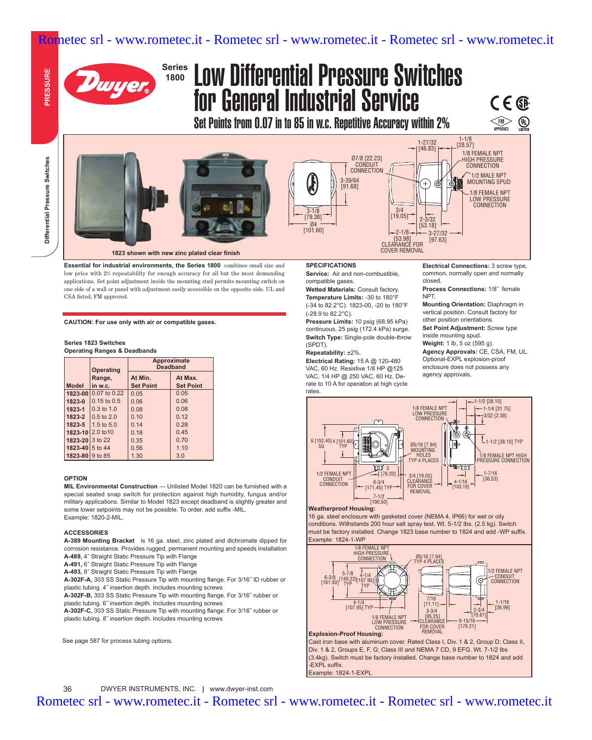## Rometec srl - www.rometec.it - Rometec srl - www.rometec.it - Rometec srl - www.rometec.it



# Low Differential Pressure Switches for General Industrial Service

Set Points from 0.07 in to 85 in w.c. Repetitive Accuracy within 2%

**PRESSURE** 



**1823 shown with new zinc plated clear finish**

**Essential for industrial environments, the Series 1800** combines small size and low price with 2% repeatability for enough accuracy for all but the most demanding applications. Set point adjustment inside the mounting stud permits mounting switch on one side of a wall or panel with adjustment easily accessible on the opposite side. UL and CSA listed, FM approved.

**CAUTION: For use only with air or compatible gases.**

#### **Series 1823 Switches Operating Ranges & Deadbands**

|                    | <b>Operating</b>     | Approximate<br><b>Deadband</b> |                  |
|--------------------|----------------------|--------------------------------|------------------|
|                    | Range,               | At Min.                        | At Max.          |
| <b>Model</b>       | in w.c.              | <b>Set Point</b>               | <b>Set Point</b> |
|                    | 1823-00 0.07 to 0.22 | 0.05                           | 0.05             |
| 1823-0             | $0.15$ to $0.5$      | 0.06                           | 0.06             |
| 1823-1             | $0.3$ to $1.0$       | 0.08                           | 0.08             |
| 1823-2             | $0.5$ to $2.0$       | 0.10                           | 0.12             |
| 1823-5             | 1.5 to $5.0$         | 0.14                           | 0.28             |
|                    | 1823-10 2.0 to 10    | 0.18                           | 0.45             |
| 1823-20 $ 3$ to 22 |                      | 0.35                           | 0.70             |
| 1823-40 5 to 44    |                      | 0.56                           | 1.10             |
| 1823-80 9 to 85    |                      | 1.30                           | 3.0              |

#### **OPTION**

**MIL Environmental Construction** — Unlisted Model 1820 can be furnished with a special sealed snap switch for protection against high humidity, fungus and/or military applications. Similar to Model 1823 except deadband is slightly greater and some lower setpoints may not be possible. To order, add suffix -MIL. Example: 1820-2-MIL.

#### **ACCESSORIES**

**A-389 Mounting Bracket** is 16 ga. steel, zinc plated and dichromate dipped for corrosion resistance. Provides rugged, permanent mounting and speeds installation

**A-489,** 4˝ Straight Static Pressure Tip with Flange **A-491,** 6˝ Straight Static Pressure Tip with Flange

**A-493,** 8˝ Straight Static Pressure Tip with Flange

**A-302F-A,** 303 SS Static Pressure Tip with mounting flange. For 3/16˝ ID rubber or plastic tubing. 4˝ insertion depth. Includes mounting screws

**A-302F-B,** 303 SS Static Pressure Tip with mounting flange. For 3/16˝ rubber or plastic tubing. 6˝ insertion depth. Includes mounting screws

**A-302F-C,** 303 SS Static Pressure Tip with mounting flange. For 3/16˝ rubber or plastic tubing. 8˝ insertion depth. Includes mounting screws

See page 587 for process tubing options.

#### **SPECIFICATIONS**

 $3 - 1/8$ [79.38]  $Q$ 4 [101.60]

**Service:** Air and non-combustible, compatible gases.

3-39/64 [91.68]

Ø7/8 [22.23] CONDUIT **CONNECTION**  1-27/32  $[46.83]$ 

> $-3 - 27/32$ [97.63]

கு Ô,

2-3/32  $[53.18]$ 

 $-2 - 1/8$ [53.98] CLEARANCE FOR COVER REMOVAL

3/4  $[19.05]$ 

**Wetted Materials:** Consult factory. **Temperature Limits:** -30 to 180°F

(-34 to 82.2°C). 1823-00, -20 to 180°F (-28.9 to 82.2°C).

**Pressure Limits:** 10 psig (68.95 kPa) continuous, 25 psig (172.4 kPa) surge. **Switch Type:** Single-pole double-throw (SPDT).

### **Repeatability:** ±2%.

**Electrical Rating:** 15 A @ 120-480 VAC, 60 Hz. Resistive 1/8 HP @125 VAC, 1/4 HP @ 250 VAC, 60 Hz. Derate to 10 A for operation at high cycle rates.

**Electrical Connections:** 3 screw type, common, normally open and normally closed.

**Process Connections:** 1/8˝ female NPT.

1-1/8 [28.57]

> 1/8 FEMALE NPT HIGH PRESSURE CONNECTION 1/2 MALE NPT MOUNTING SPUD 1/8 FEMALE NPT LOW PRESSURE **CONNECTION**

CE®

FM<br>APPROVED

 $\bigoplus$ <br>LISTED

**Mounting Orientation:** Diaphragm in vertical position. Consult factory for other position orientations.

**Set Point Adjustment:** Screw type inside mounting spud.

**Weight:** 1 lb, 5 oz (595 g). **Agency Approvals:** CE, CSA, FM, UL. Optional-EXPL explosion-proof enclosure does not possess any agency approvals.



#### **Weatherproof Housing:**

16 ga. steel enclosure with gasketed cover (NEMA 4, IP66) for wet or oily conditions. Withstands 200 hour salt spray test. Wt. 5-1/2 Ibs. (2.5 kg). Switch must be factory installed. Change 1823 base number to 1824 and add -WP suffix. Example: 1824-1-WP



Cast iron base with aluminum cover. Rated Class I, Div. 1 & 2, Group D; Class II, Div. 1 & 2, Groups E, F, G; Class III and NEMA 7 CD, 9 EFG. Wt. 7-1/2 Ibs (3.4kg). Switch must be factory installed. Change base number to 1824 and add -EXPL suffix. Example: 1824-1-EXPL

Rometec srl - www.rometec.it - Rometec srl - www.rometec.it - Rometec srl - www.rometec.it